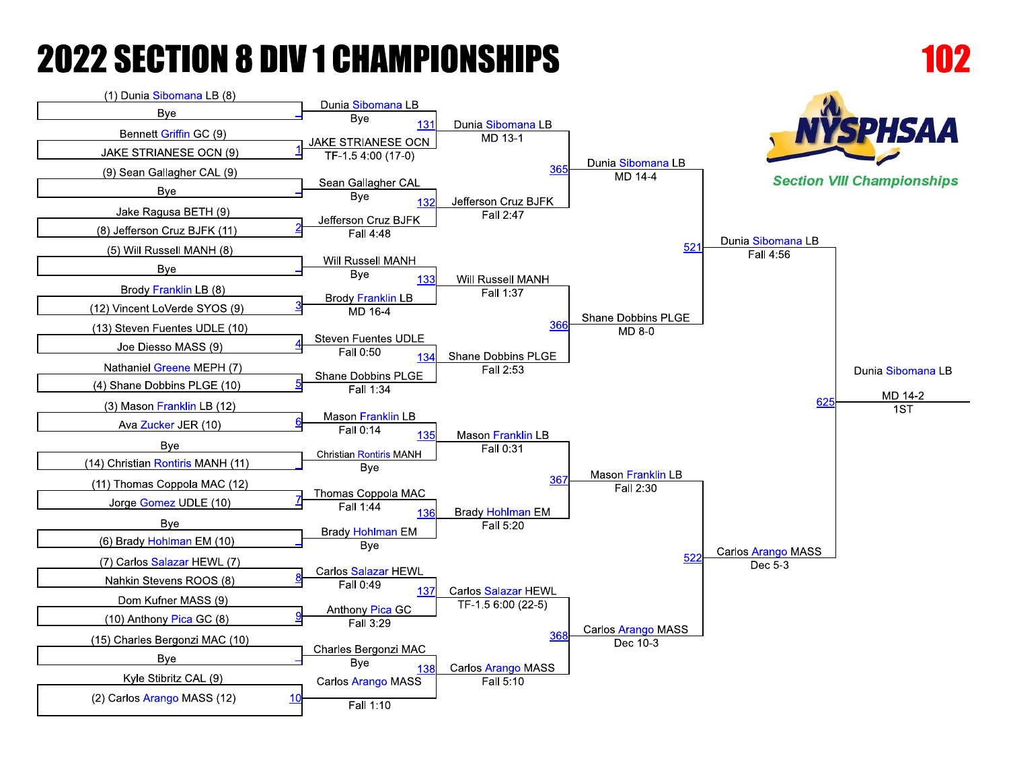

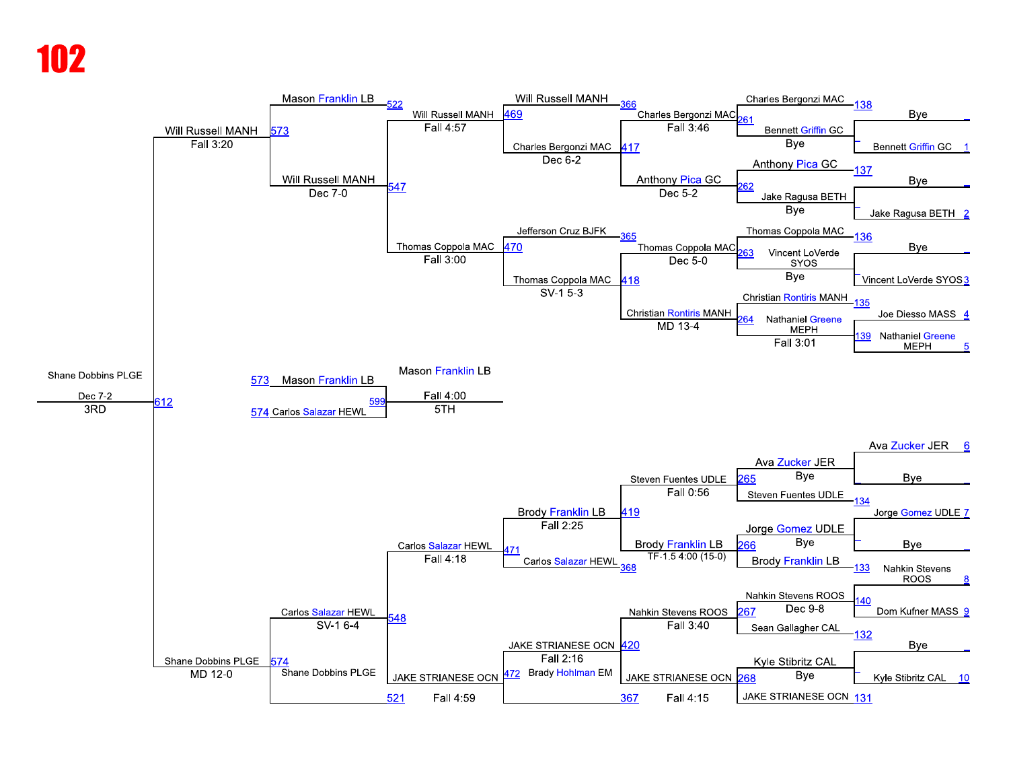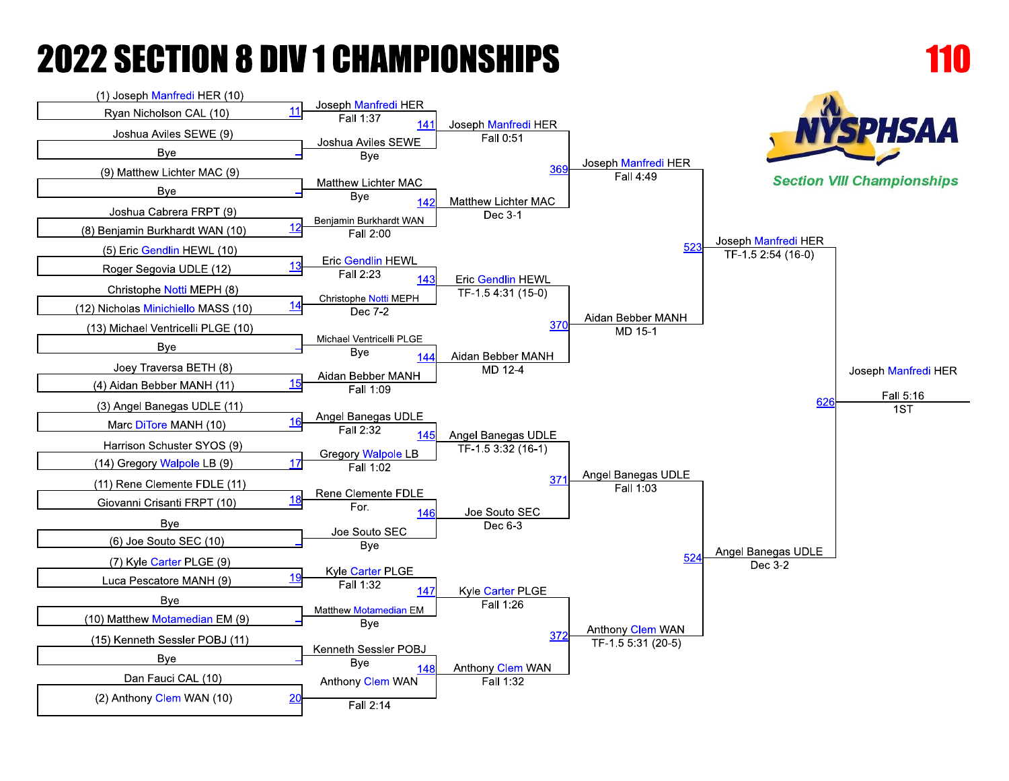

Fall 2:14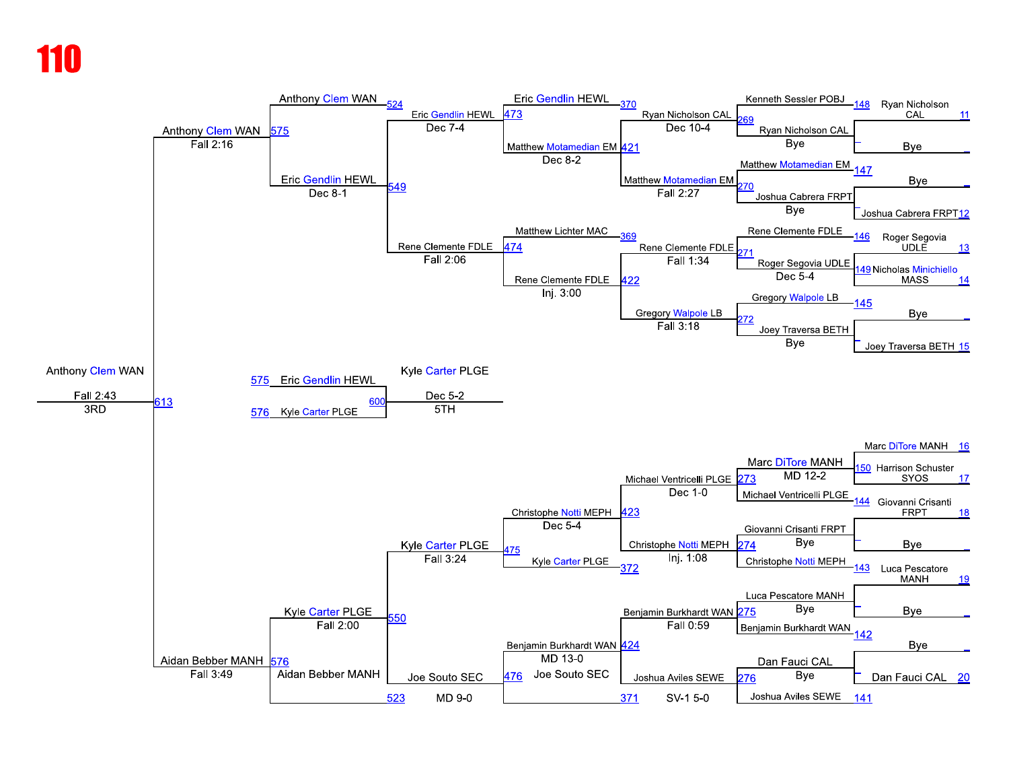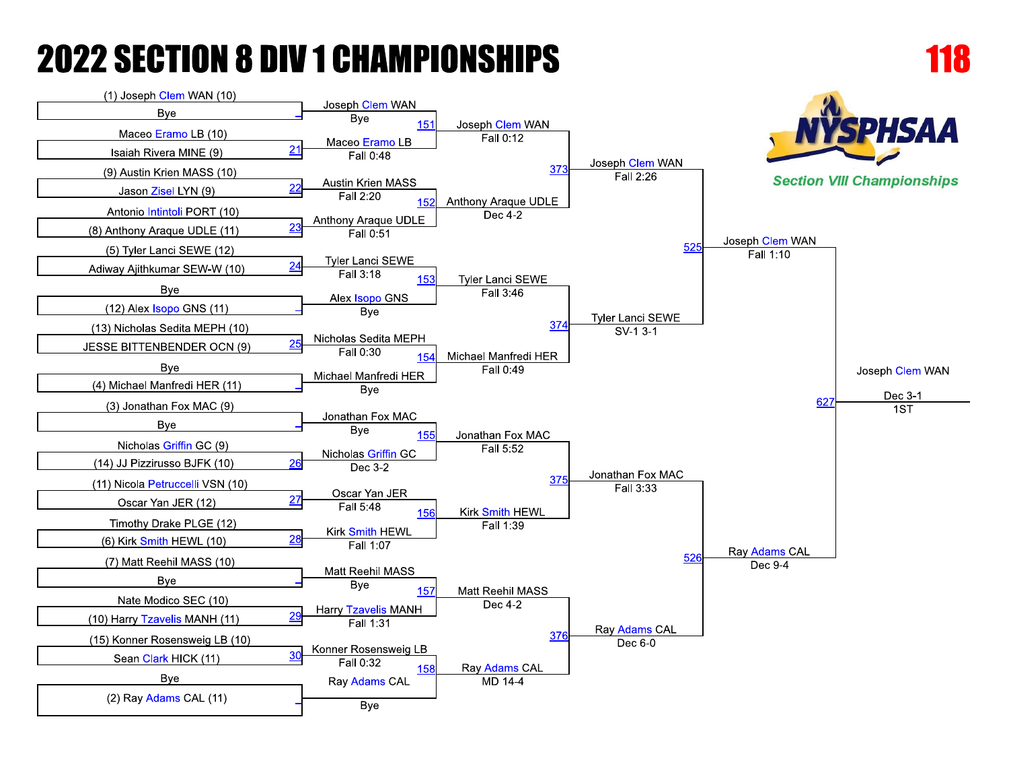

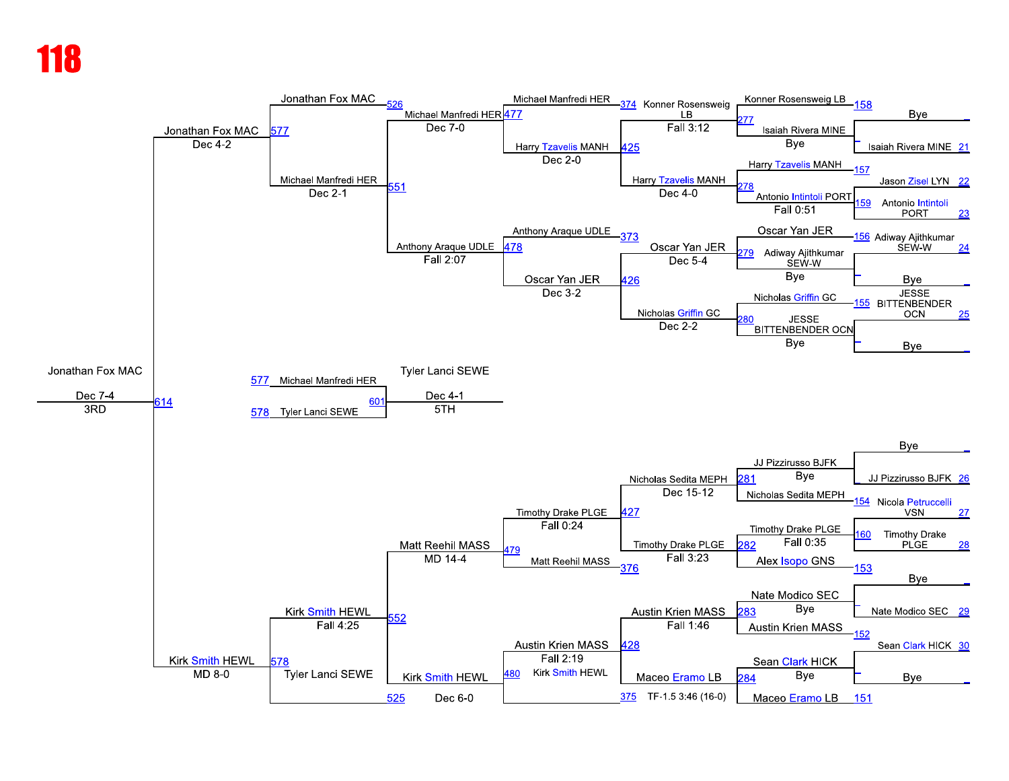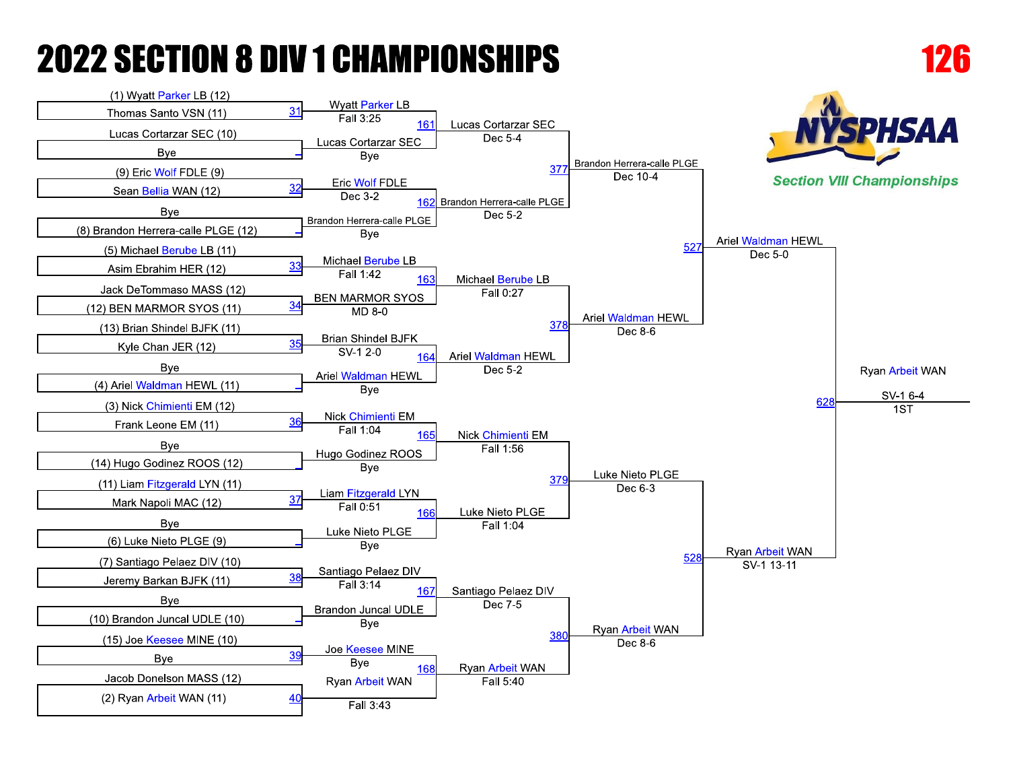

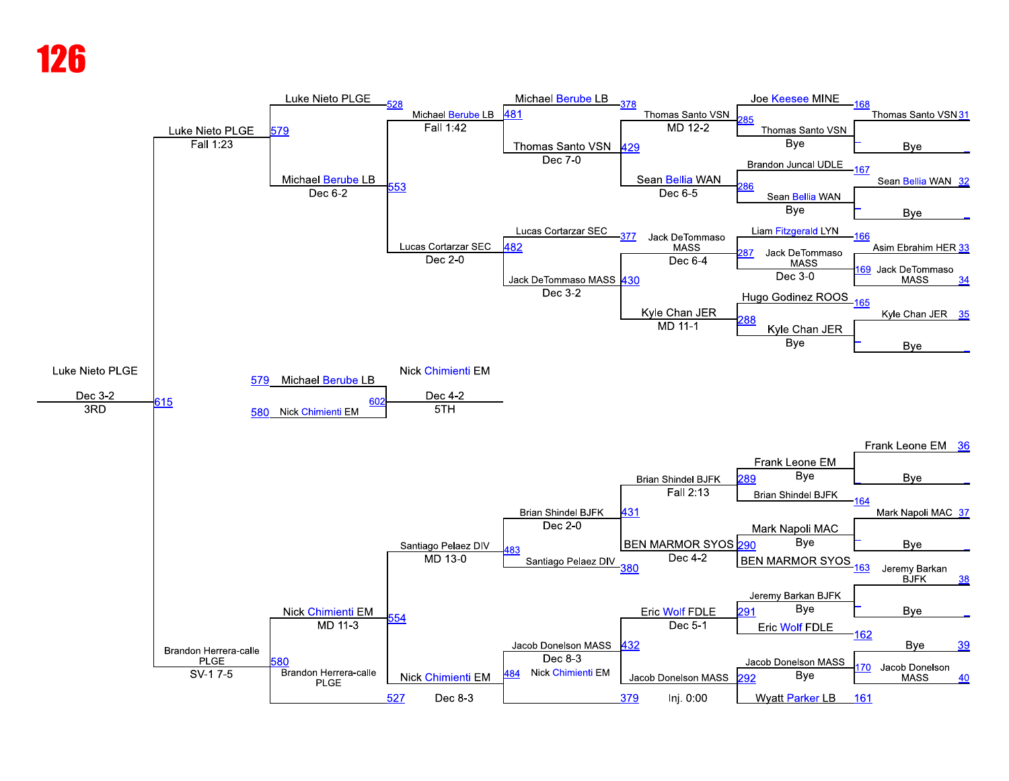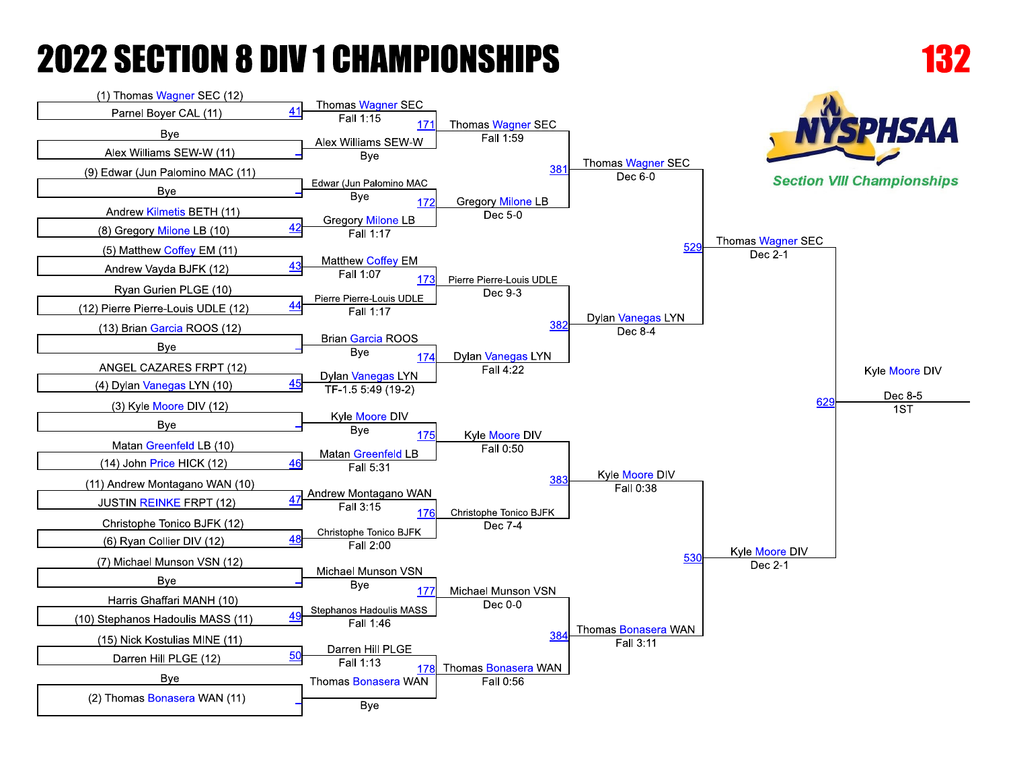**Bye** 

(2) Thomas Bonasera WAN (11)

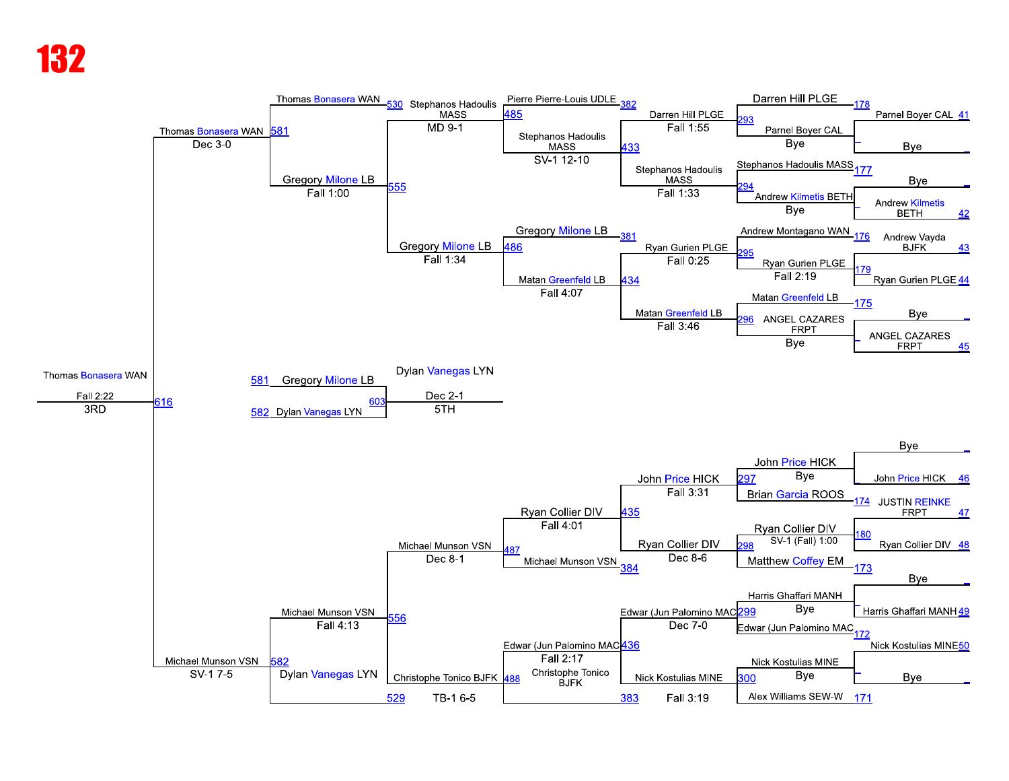### К7

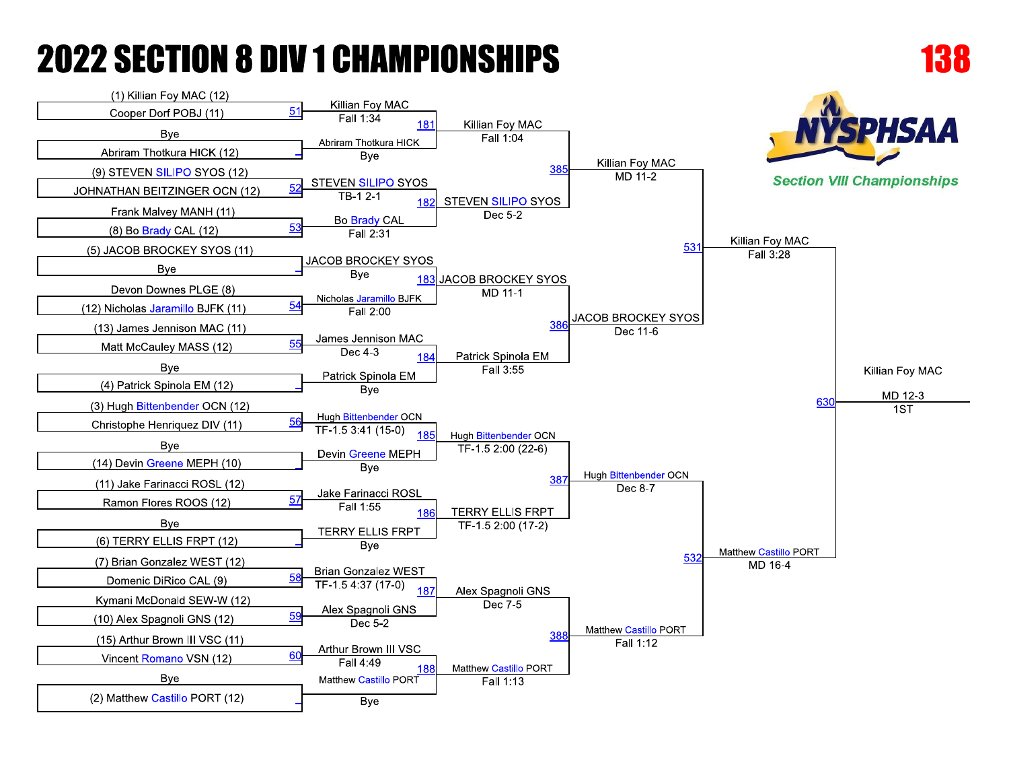

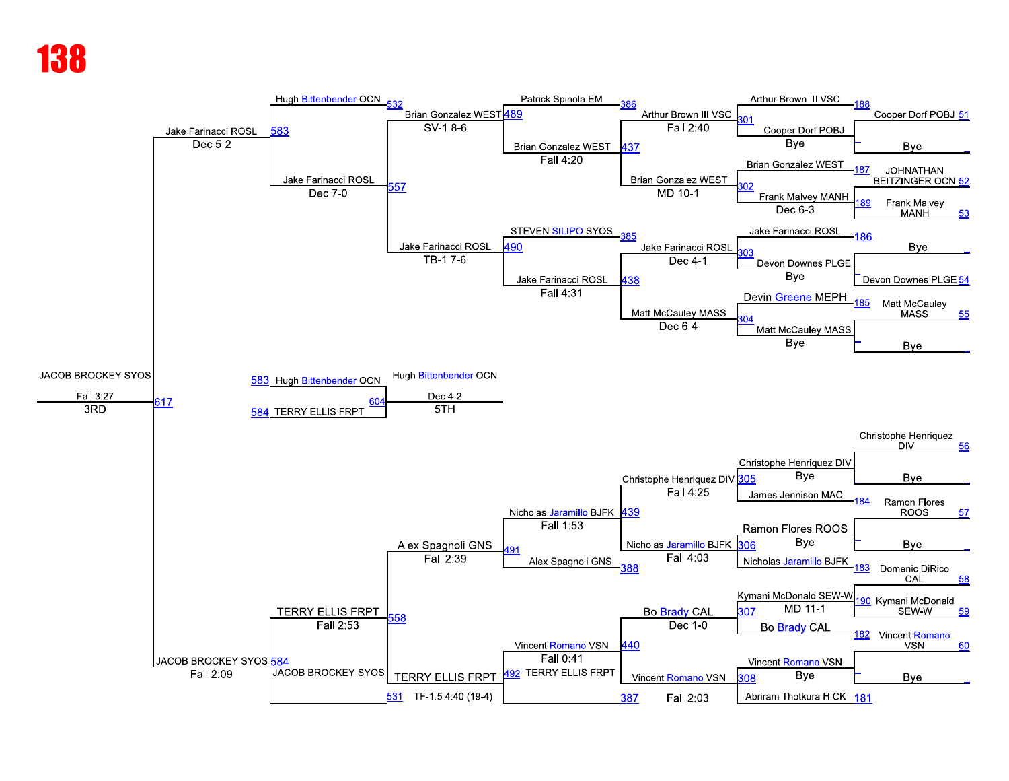#### Kłi

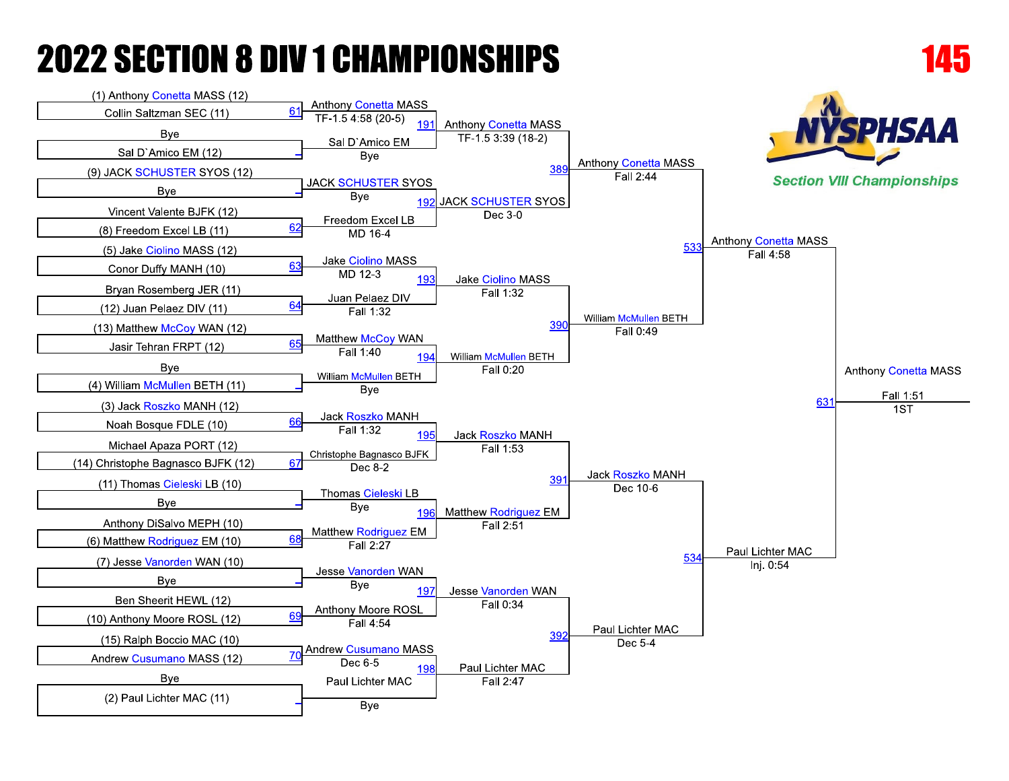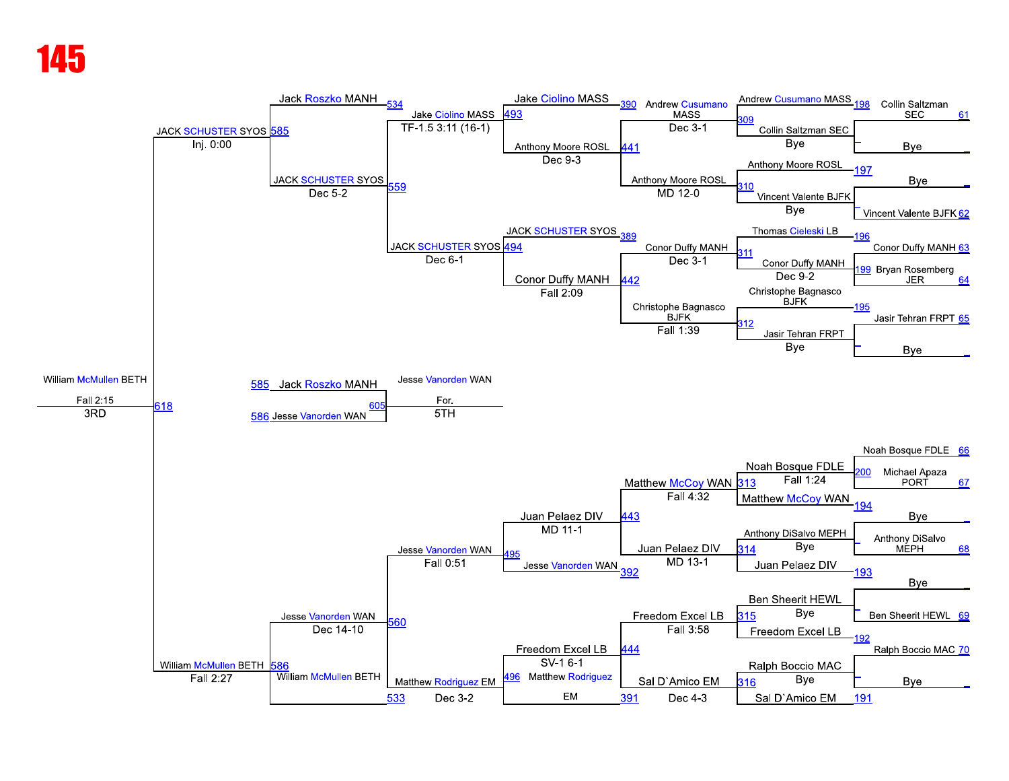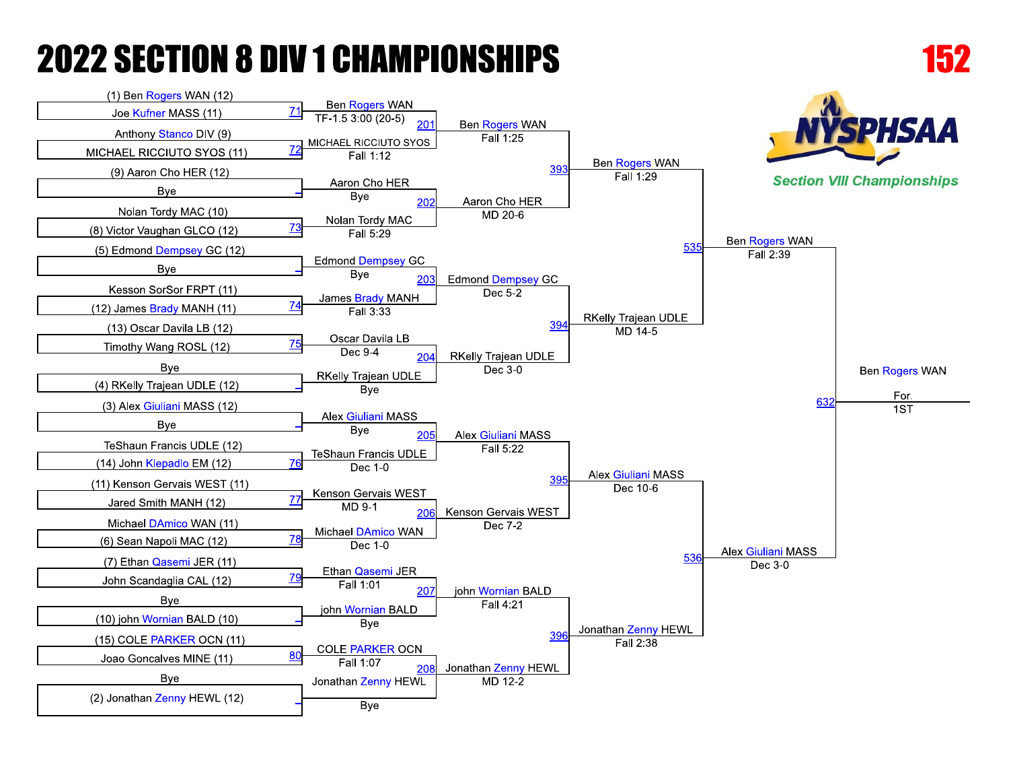**B**ve

**COLE PARKER OCN** 

Jonathan Zenny HEWL

**Bye** 

 $20<sub>1</sub>$ 

Fall 1:07

80

(10) john Wornian BALD (10)

(15) COLE PARKER OCN (11)

Joao Goncalves MINE (11)

**Bye** 

(2) Jonathan Zenny HEWL (12)



39

Jonathan Zenny HEWL

MD 12-2

Jonathan Zenny HEWL

Fall 2:38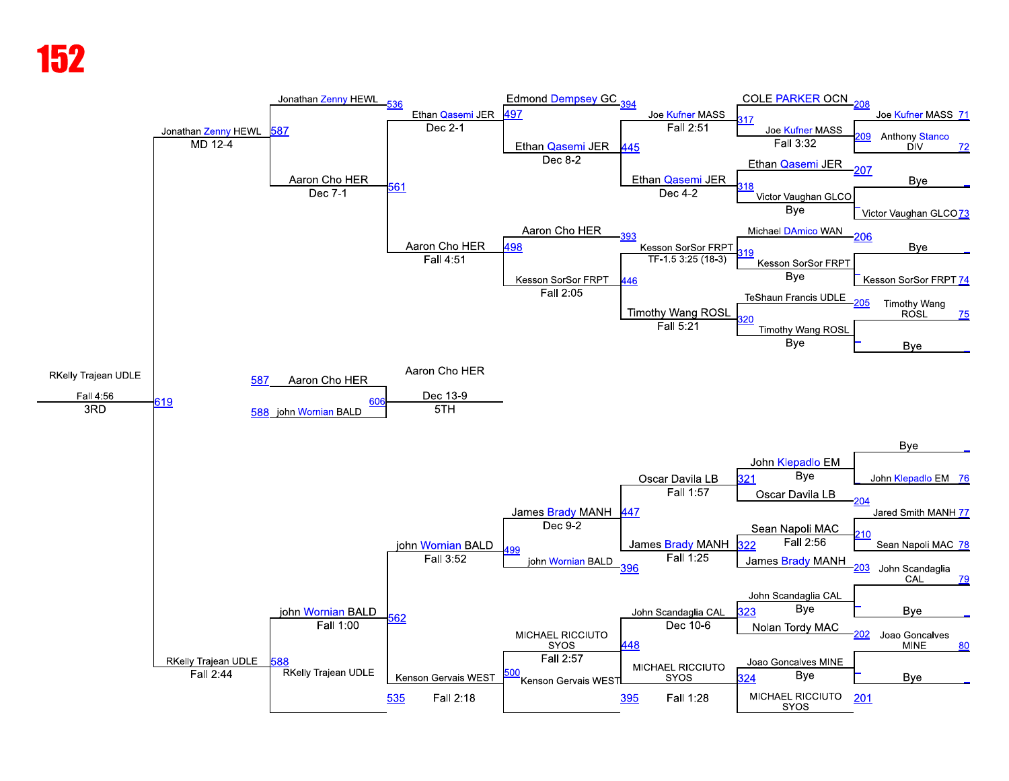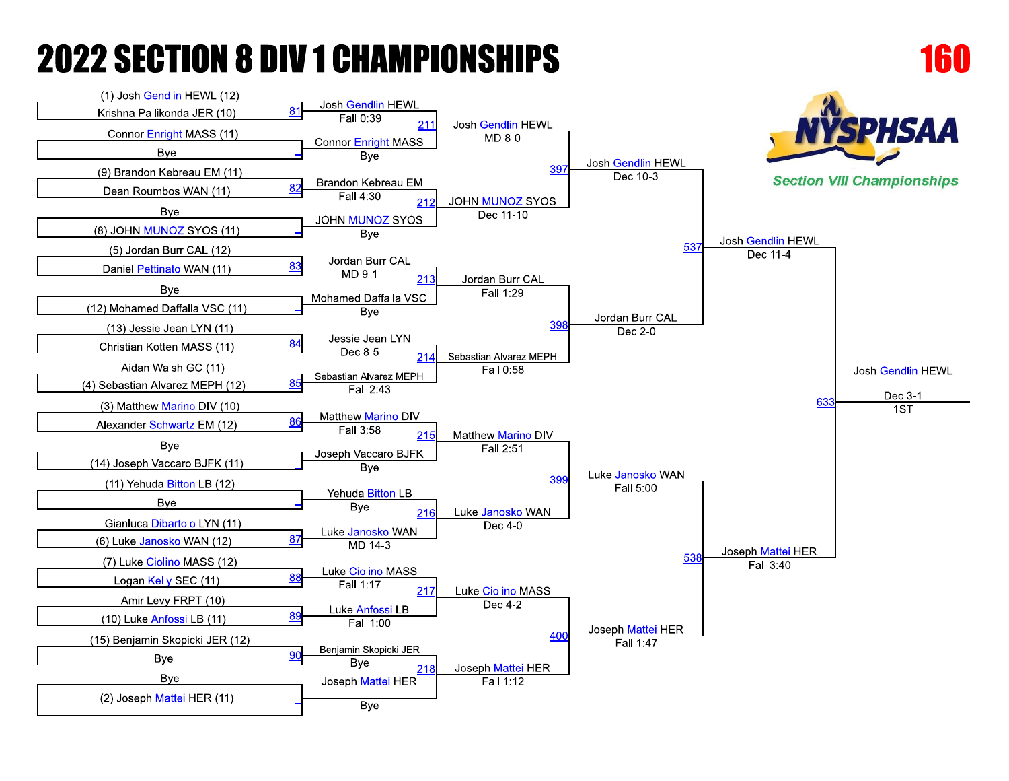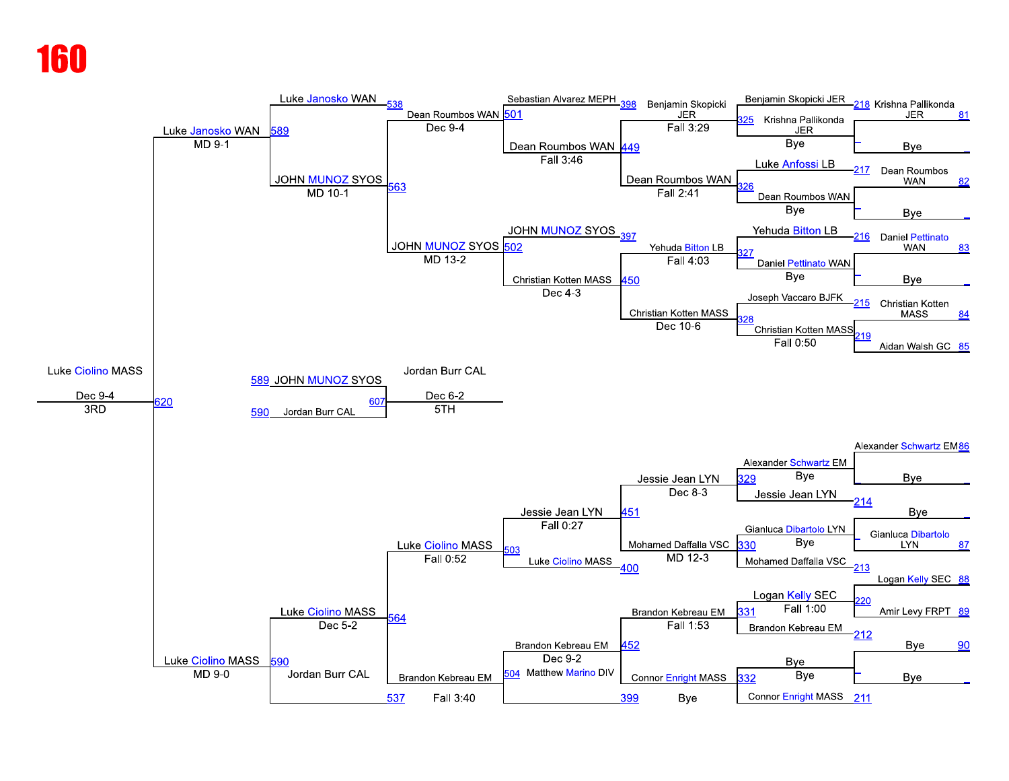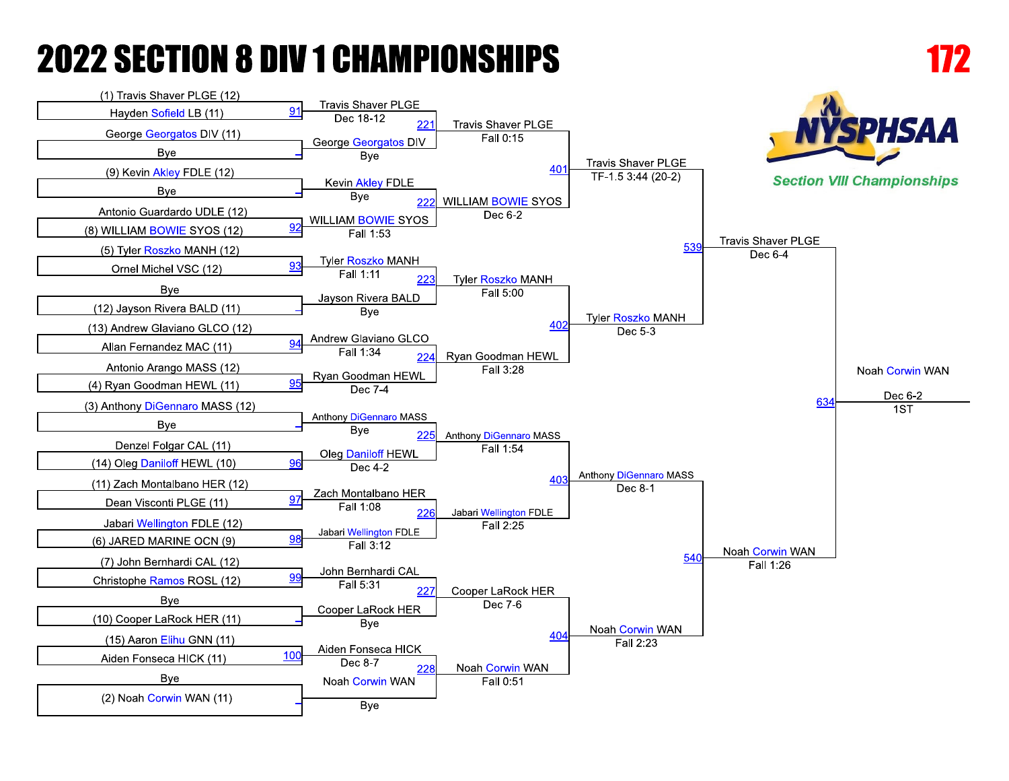

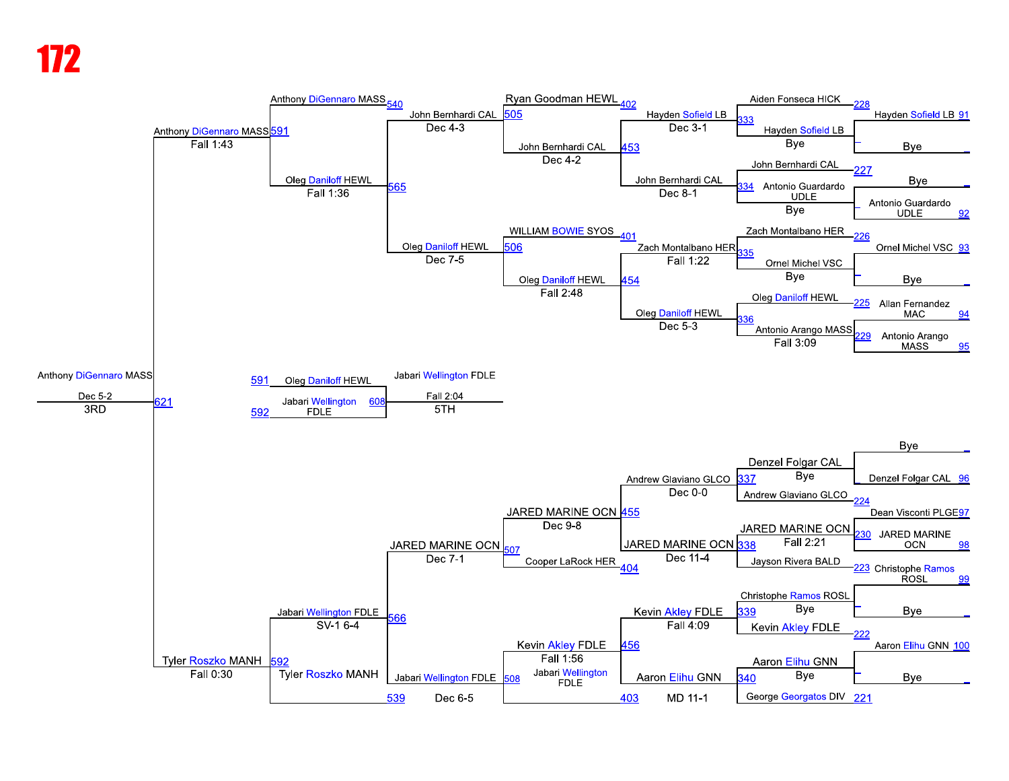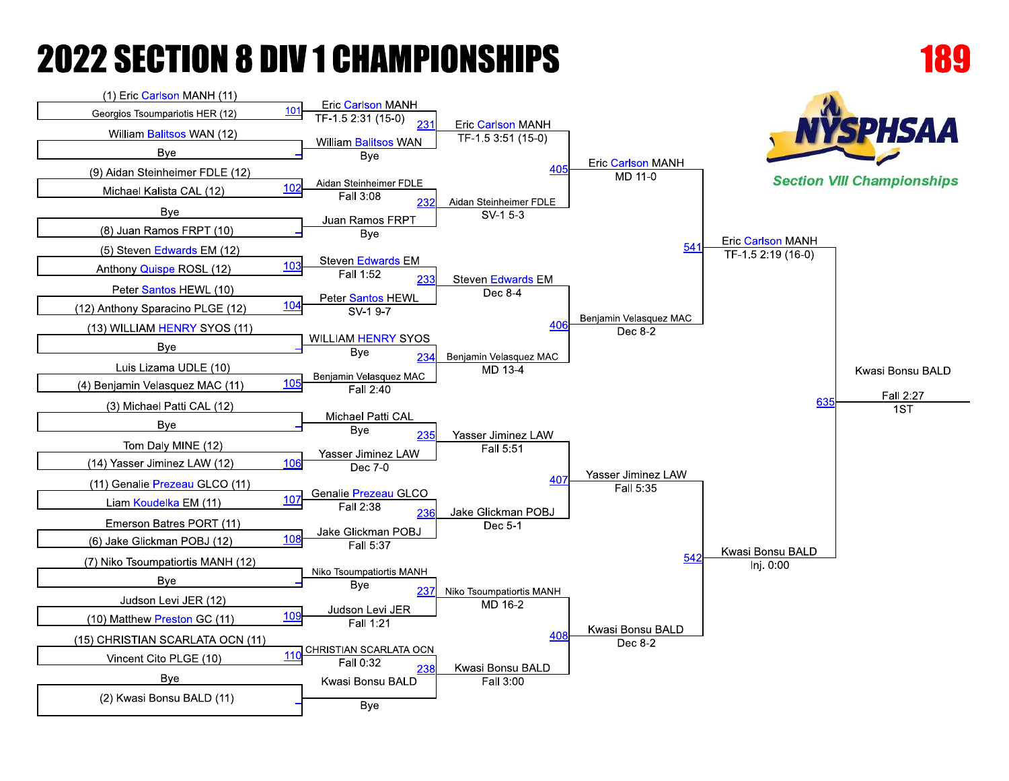

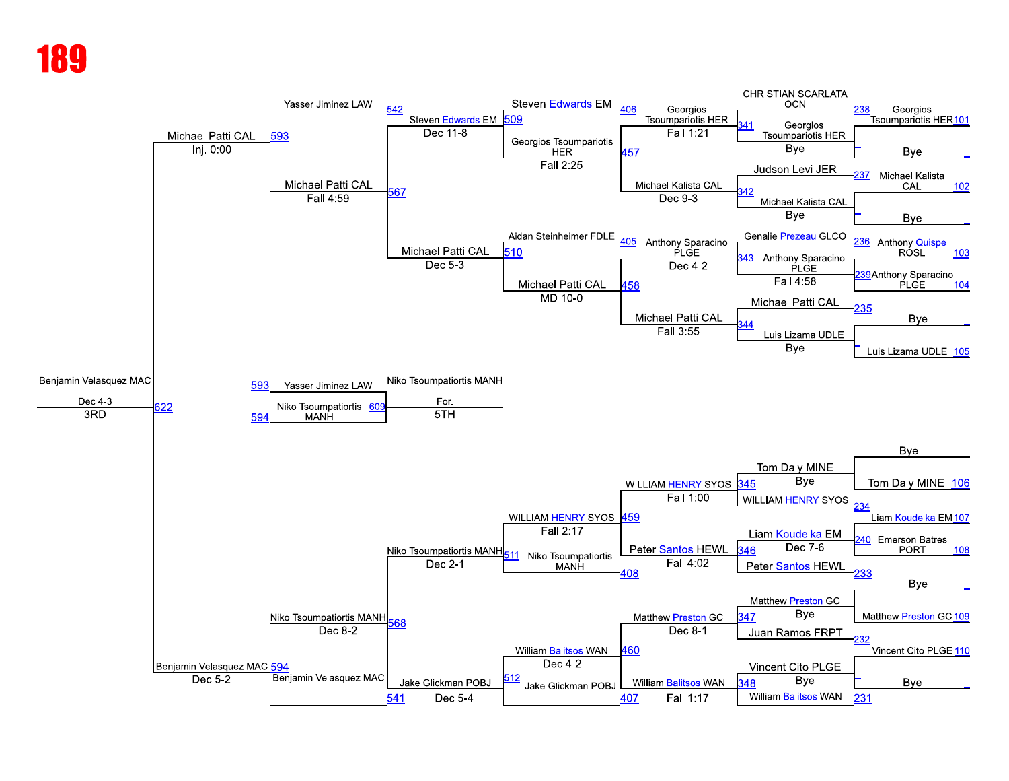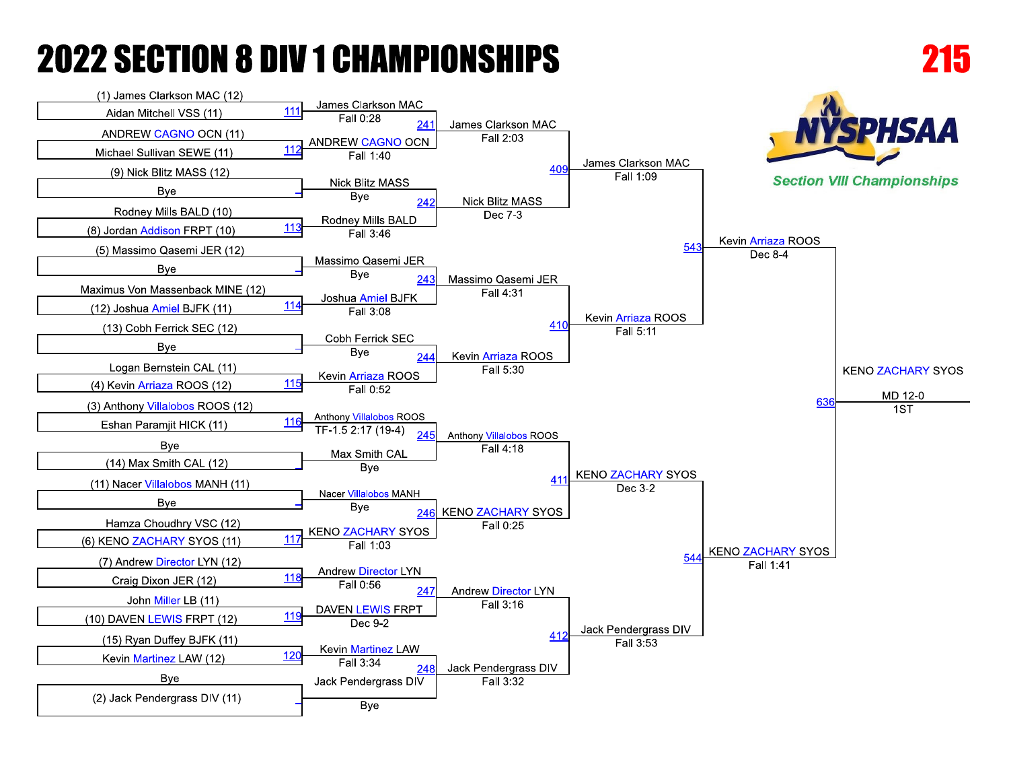

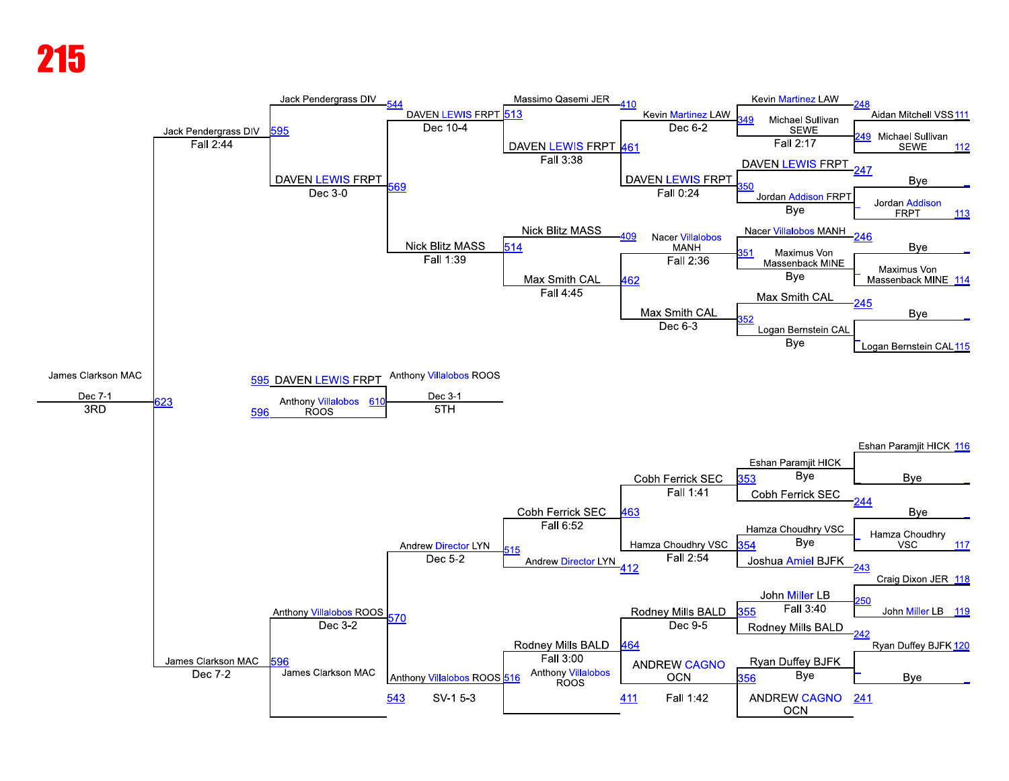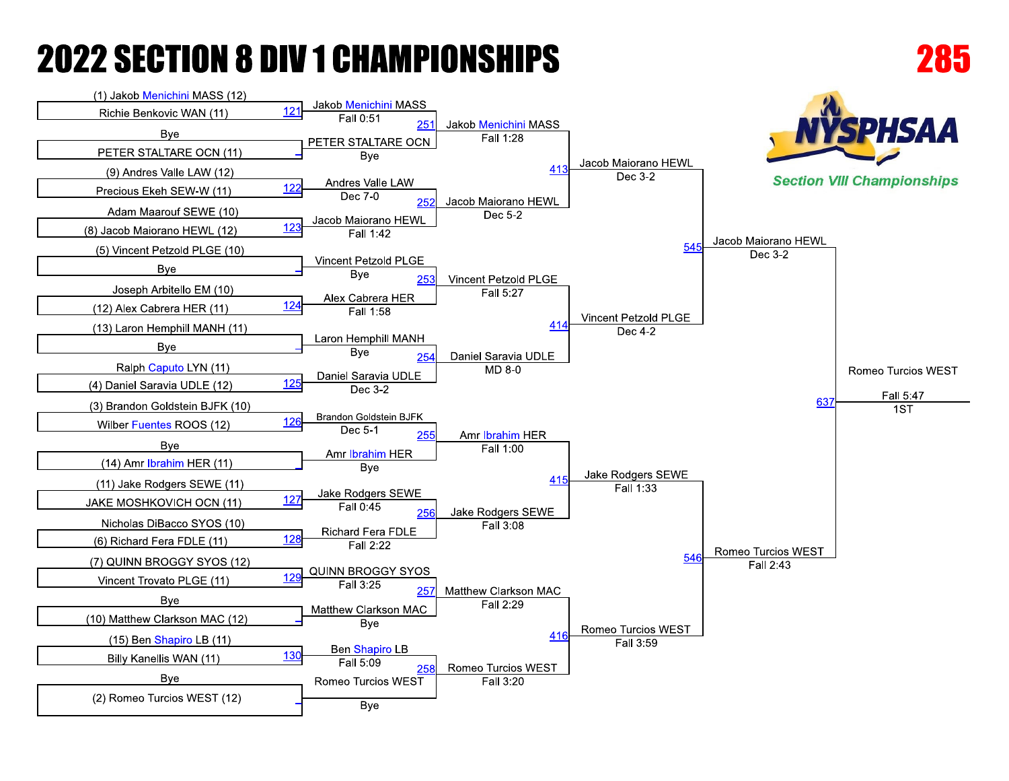**Bye**